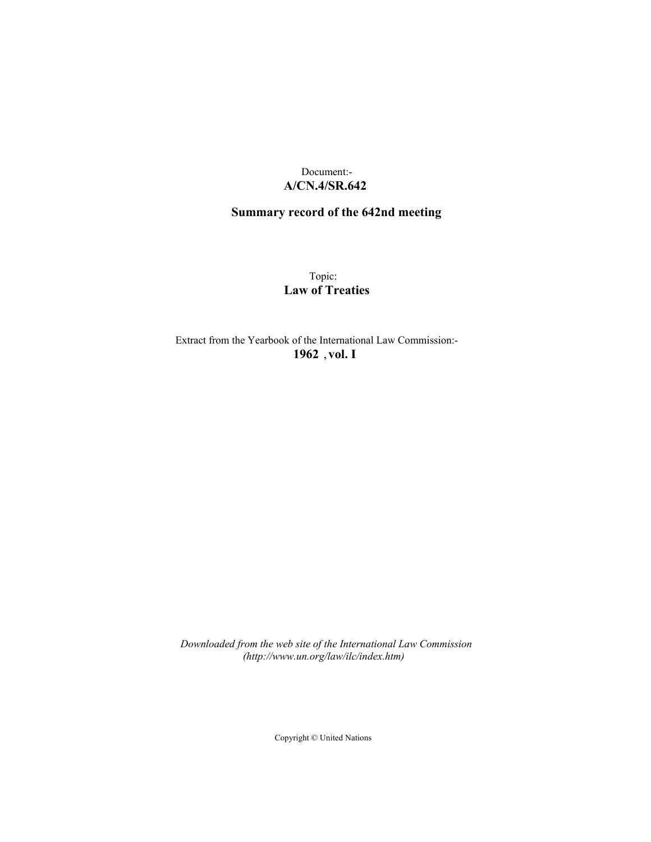## Document:- **A/CN.4/SR.642**

## **Summary record of the 642nd meeting**

Topic: **Law of Treaties**

Extract from the Yearbook of the International Law Commission:- **1962** ,**vol. I**

*Downloaded from the web site of the International Law Commission (http://www.un.org/law/ilc/index.htm)*

Copyright © United Nations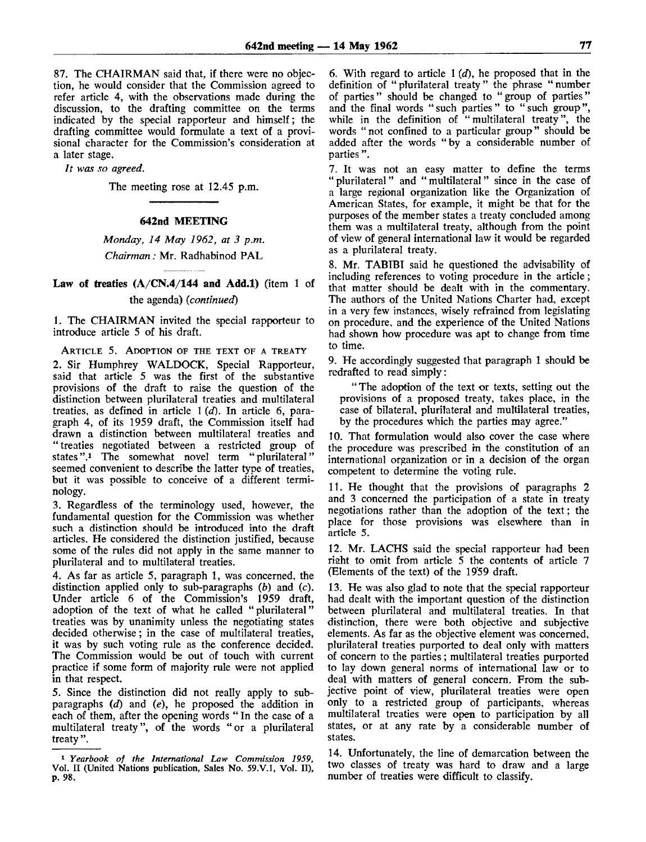87. The CHAIRMAN said that, if there were no objection, he would consider that the Commission agreed to refer article 4, with the observations made during the discussion, to the drafting committee on the terms indicated by the special rapporteur and himself; the drafting committee would formulate a text of a provisional character for the Commission's consideration at a later stage.

*It was so agreed.*

The meeting rose at 12.45 p.m.

## **642nd MEETING**

*Monday, 14 May 1962, at 3 p.m. Chairman:* Mr. Radhabinod PAL

## **Law of treaties (A/CN.4/144 and Add.l)** (item 1 of the agenda) *(continued)*

1. The CHAIRMAN invited the special rapporteur to introduce article 5 of his draft.

ARTICLE 5. ADOPTION OF THE TEXT OF A TREATY

2. Sir Humphrey WALDOCK, Special Rapporteur, said that article 5 was the first of the substantive provisions of the draft to raise the question of the distinction between plurilateral treaties and multilateral treaties, as defined in article 1 *(d).* In article 6, paragraph 4, of its 1959 draft, the Commission itself had drawn a distinction between multilateral treaties and "treaties negotiated between a restricted group of states".<sup>1</sup> The somewhat novel term "plurilateral" seemed convenient to describe the latter type of treaties, but it was possible to conceive of a different terminology.

3. Regardless of the terminology used, however, the fundamental question for the Commission was whether such a distinction should be introduced into the draft articles. He considered the distinction justified, because some of the rules did not apply in the same manner to plurilateral and to multilateral treaties.

4. As far as article 5, paragraph 1, was concerned, the distinction applied only to sub-paragraphs *(b)* and (c). Under article 6 of the Commission's 1959 draft, adoption of the text of what he called "plurilateral" treaties was by unanimity unless the negotiating states decided otherwise; in the case of multilateral treaties, it was by such voting rule as the conference decided. The Commission would be out of touch with current practice if some form of majority rule were not applied in that respect.

5. Since the distinction did not really apply to subparagraphs *(d)* and *(e),* he proposed the addition in each of them, after the opening words " In the case of a multilateral treaty", of the words "or a plurilateral treaty ".

6. With regard to article 1 *(d),* he proposed that in the definition of "plurilateral treaty" the phrase "number of parties" should be changed to "group of parties" and the final words "such parties" to "such group", while in the definition of "multilateral treaty", the words "not confined to a particular group" should be added after the words "by a considerable number of parties ".

7. It was not an easy matter to define the terms "plurilateral" and "multilateral" since in the case of a large regional organization like the Organization of American States, for example, it might be that for the purposes of the member states a treaty concluded among them was a multilateral treaty, although from the point of view of general international law it would be regarded as a plurilateral treaty.

8. Mr. TABTBI said he questioned the advisability of including references to voting procedure in the article; that matter should be dealt with in the commentary. The authors of the United Nations Charter had, except in a very few instances, wisely refrained from legislating on procedure, and the experience of the United Nations had shown how procedure was apt to change from time to time.

9. He accordingly suggested that paragraph 1 should be redrafted to read simply:

" The adoption of the text or texts, setting out the provisions of a proposed treaty, takes place, in the case of bilateral, plurilateral and multilateral treaties, by the procedures which the parties may agree."

10. That formulation would also cover the case where the procedure was prescribed in the constitution of an international organization or in a decision of the organ competent to determine the voting rule.

11. He thought that the provisions of paragraphs 2 and 3 concerned the participation of a state in treaty negotiations rather than the adoption of the text; the place for those provisions was elsewhere than in article 5.

12. Mr. LACHS said the special rapporteur had been right to omit from article 5 the contents of article 7 (Elements of the text) of the 1959 draft.

13. He was also glad to note that the special rapporteur had dealt with the important question of the distinction between plurilateral and multilateral treaties. In that distinction, there were both objective and subjective elements. As far as the objective element was concerned, plurilateral treaties purported to deal only with matters of concern to the parties; multilateral treaties purported to lay down general norms of international law or to deal with matters of general concern. From the subjective point of view, plurilateral treaties were open only to a restricted group of participants, whereas multilateral treaties were open to participation by all states, or at any rate by a considerable number of states.

14. Unfortunately, the line of demarcation between the two classes of treaty was hard to draw and a large number of treaties were difficult to classify.

<sup>1</sup>  *Yearbook of the International Law Commission 1959,* Vol. II (United Nations publication, Sales No. 59.V.1, Vol. II), p. 98.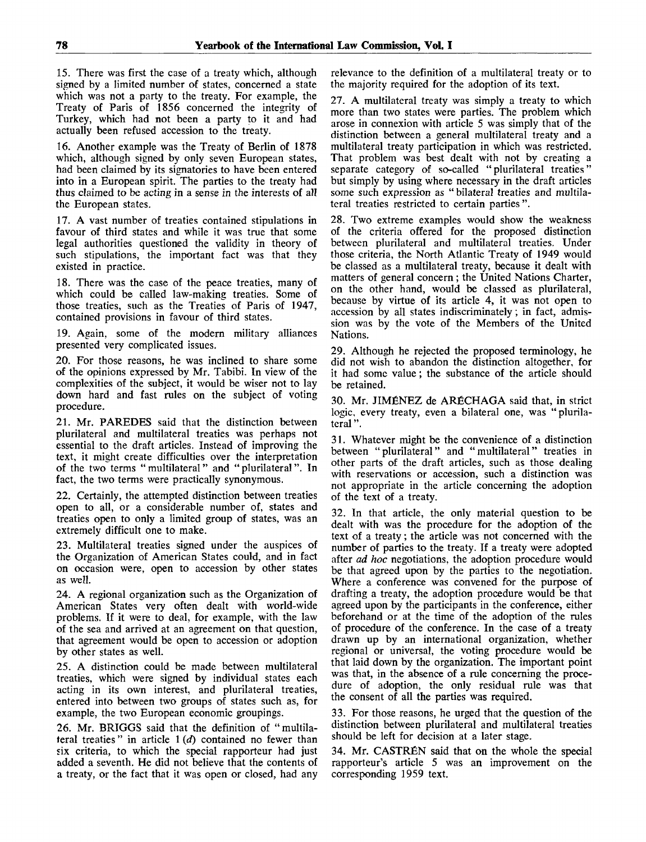15. There was first the case of a treaty which, although signed by a limited number of states, concerned a state which was not a party to the treaty. For example, the Treaty of Paris of 1856 concerned the integrity of Turkey, which had not been a party to it and had actually been refused accession to the treaty.

16. Another example was the Treaty of Berlin of 1878 which, although signed by only seven European states, had been claimed by its signatories to have been entered into in a European spirit. The parties to the treaty had thus claimed to be acting in a sense in the interests of all the European states.

17. A vast number of treaties contained stipulations in favour of third states and while it was true that some legal authorities questioned the validity in theory of such stipulations, the important fact was that they existed in practice.

18. There was the case of the peace treaties, many of which could be called law-making treaties. Some of those treaties, such as the Treaties of Paris of 1947, contained provisions in favour of third states.

19. Again, some of the modern military alliances presented very complicated issues.

20. For those reasons, he was inclined to share some of the opinions expressed by Mr. Tabibi. In view of the complexities of the subject, it would be wiser not to lay down hard and fast rules on the subject of voting procedure.

21. Mr. PAREDES said that the distinction between plurilateral and multilateral treaties was perhaps not essential to the draft articles. Instead of improving the text, it might create difficulties over the interpretation of the two terms "multilateral" and "plurilateral". In fact, the two terms were practically synonymous.

22. Certainly, the attempted distinction between treaties open to all, or a considerable number of, states and treaties open to only a limited group of states, was an extremely difficult one to make.

23. Multilateral treaties signed under the auspices of the Organization of American States could, and in fact on occasion were, open to accession by other states as well.

24. A regional organization such as the Organization of American States very often dealt with world-wide problems. If it were to deal, for example, with the law of the sea and arrived at an agreement on that question, that agreement would be open to accession or adoption by other states as well.

25. A distinction could be made between multilateral treaties, which were signed by individual states each acting in its own interest, and plurilateral treaties, entered into between two groups of states such as, for example, the two European economic groupings.

26. Mr. BRIGGS said that the definition of "multilateral treaties" in article 1 *(d)* contained no fewer than six criteria, to which the special rapporteur had just added a seventh. He did not believe that the contents of a treaty, or the fact that it was open or closed, had any

relevance to the definition of a multilateral treaty or to the majority required for the adoption of its text.

27. A multilateral treaty was simply a treaty to which more than two states were parties. The problem which arose in connexion with article 5 was simply that of the distinction between a general multilateral treaty and a multilateral treaty participation in which was restricted. That problem was best dealt with not by creating a separate category of so-called "plurilateral treaties" but simply by using where necessary in the draft articles some such expression as " bilateral treaties and multilateral treaties restricted to certain parties".

28. Two extreme examples would show the weakness of the criteria offered for the proposed distinction between plurilateral and multilateral treaties. Under those criteria, the North Atlantic Treaty of 1949 would be classed as a multilateral treaty, because it dealt with matters of general concern; the United Nations Charter, on the other hand, would be classed as plurilateral, because by virtue of its article 4, it was not open to accession by all states indiscriminately; in fact, admission was by the vote of the Members of the United Nations.

29. Although he rejected the proposed terminology, he did not wish to abandon the distinction altogether, for it had some value; the substance of the article should be retained.

30. Mr. JIMfiNEZ de ARfiCHAGA said that, in strict logic, every treaty, even a bilateral one, was "plurilateral ".

31. Whatever might be the convenience of a distinction between "plurilateral" and "multilateral" treaties in other parts of the draft articles, such as those dealing with reservations or accession, such a distinction was not appropriate in the article concerning the adoption of the text of a treaty.

32. In that article, the only material question to be dealt with was the procedure for the adoption of the text of a treaty; the article was not concerned with the number of parties to the treaty. If a treaty were adopted after *ad hoc* negotiations, the adoption procedure would be that agreed upon by the parties to the negotiation. Where a conference was convened for the purpose of drafting a treaty, the adoption procedure would be that agreed upon by the participants in the conference, either beforehand or at the time of the adoption of the rules of procedure of the conference. In the case of a treaty drawn up by an international organization, whether regional or universal, the voting procedure would be that laid down by the organization. The important point was that, in the absence of a rule concerning the procedure of adoption, the only residual rule was that the consent of all the parties was required.

33. For those reasons, he urged that the question of the distinction between plurilateral and multilateral treaties should be left for decision at a later stage.

34. Mr. CASTREN said that on the whole the special rapporteur's article 5 was an improvement on the corresponding 1959 text.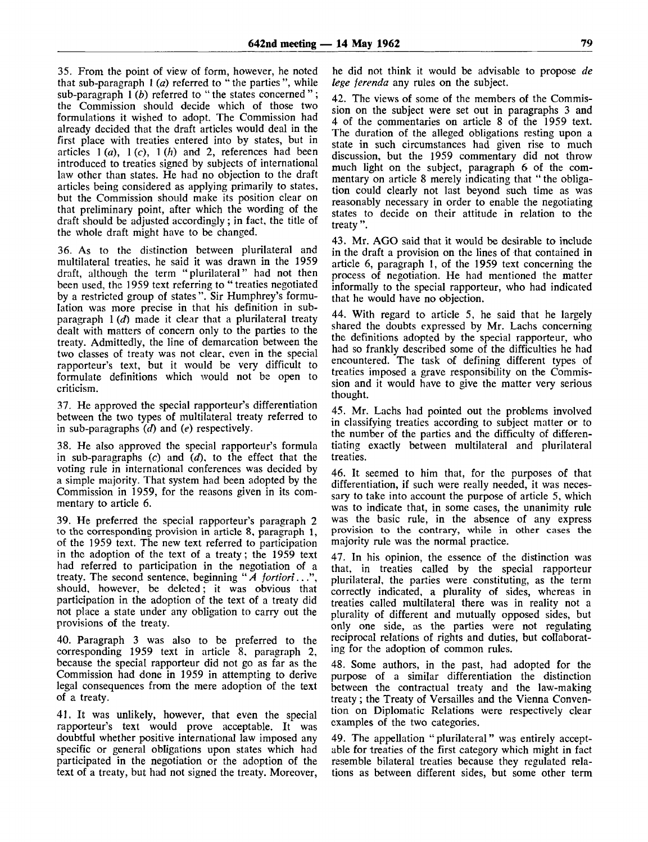35. From the point of view of form, however, he noted that sub-paragraph 1 *(a)* referred to " the parties ", while sub-paragraph 1*(b)* referred to "the states concerned"; the Commission should decide which of those two formulations it wished to adopt. The Commission had already decided that the draft articles would deal in the first place with treaties entered into by states, but in articles  $1(a)$ ,  $1(c)$ ,  $1(h)$  and 2, references had been introduced to treaties signed by subjects of international law other than states. He had no objection to the draft articles being considered as applying primarily to states, but the Commission should make its position clear on that preliminary point, after which the wording of the draft should be adjusted accordingly; in fact, the title of the whole draft might have to be changed.

36. As to the distinction between plurilateral and multilateral treaties, he said it was drawn in the 1959 draft, although the term "plurilateral" had not then been used, the 1959 text referring to "treaties negotiated by a restricted group of states ". Sir Humphrey's formulation was more precise in that his definition in subparagraph 1 *(d)* made it clear that a plurilateral treaty dealt with matters of concern only to the parties to the treaty. Admittedly, the line of demarcation between the two classes of treaty was not clear, even in the special rapporteur's text, but it would be very difficult to formulate definitions which would not be open to criticism.

37. He approved the special rapporteur's differentiation between the two types of multilateral treaty referred to in sub-paragraphs *(d)* and *(e)* respectively.

38. He also approved the special rapporteur's formula in sub-paragraphs (c) and *(d),* to the effect that the voting rule in international conferences was decided by a simple majority. That system had been adopted by the Commission in 1959, for the reasons given in its commentary to article 6.

39. He preferred the special rapporteur's paragraph 2 to the corresponding provision in article 8, paragraph 1, of the 1959 text. The new text referred to participation in the adoption of the text of a treaty; the 1959 text had referred to participation in the negotiation of a treaty. The second sentence, beginning "*A fortiori*..." should, however, be deleted; it was obvious that participation in the adoption of the text of a treaty did not place a state under any obligation to carry out the provisions of the treaty.

40. Paragraph 3 was also to be preferred to the corresponding 1959 text in article 8, paragraph 2, because the special rapporteur did not go as far as the Commission had done in 1959 in attempting to derive legal consequences from the mere adoption of the text of a treaty.

41. It was unlikely, however, that even the special rapporteur's text would prove acceptable. It was doubtful whether positive international law imposed any specific or general obligations upon states which had participated in the negotiation or the adoption of the text of a treaty, but had not signed the treaty. Moreover,

he did not think it would be advisable to propose *de lege ferenda* any rules on the subject.

42. The views of some of the members of the Commission on the subject were set out in paragraphs 3 and 4 of the commentaries on article 8 of the 1959 text. The duration of the alleged obligations resting upon a state in such circumstances had given rise to much discussion, but the 1959 commentary did not throw much light on the subject, paragraph 6 of the commentary on article 8 merely indicating that " the obligation could clearly not last beyond such time as was reasonably necessary in order to enable the negotiating states to decide on their attitude in relation to the treaty ".

43. Mr. AGO said that it would be desirable to include in the draft a provision on the lines of that contained in article 6, paragraph 1, of the 1959 text concerning the process of negotiation. He had mentioned the matter informally to the special rapporteur, who had indicated that he would have no objection.

44. With regard to article 5, he said that he largely shared the doubts expressed by Mr. Lachs concerning the definitions adopted by the special rapporteur, who had so frankly described some of the difficulties he had encountered. The task of defining different types of treaties imposed a grave responsibility on the Commission and it would have to give the matter very serious thought.

45. Mr. Lachs had pointed out the problems involved in classifying treaties according to subject matter or to the number of the parties and the difficulty of differentiating exactly between multilateral and plurilateral treaties.

46. It seemed to him that, for the purposes of that differentiation, if such were really needed, it was necessary to take into account the purpose of article 5, which was to indicate that, in some cases, the unanimity rule was the basic rule, in the absence of any express provision to the contrary, while in other cases the majority rule was the normal practice.

47. In his opinion, the essence of the distinction was that, in treaties called by the special rapporteur plurilateral, the parties were constituting, as the term correctly indicated, a plurality of sides, whereas in treaties called multilateral there was in reality not a plurality of different and mutually opposed sides, but only one side, as the parties were not regulating reciprocal relations of rights and duties, but collaborating for the adoption of common rules.

48. Some authors, in the past, had adopted for the purpose of a similar differentiation the distinction between the contractual treaty and the law-making treaty ; the Treaty of Versailles and the Vienna Convention on Diplomatic Relations were respectively clear examples of the two categories.

49. The appellation "plurilateral" was entirely acceptable for treaties of the first category which might in fact resemble bilateral treaties because they regulated relations as between different sides, but some other term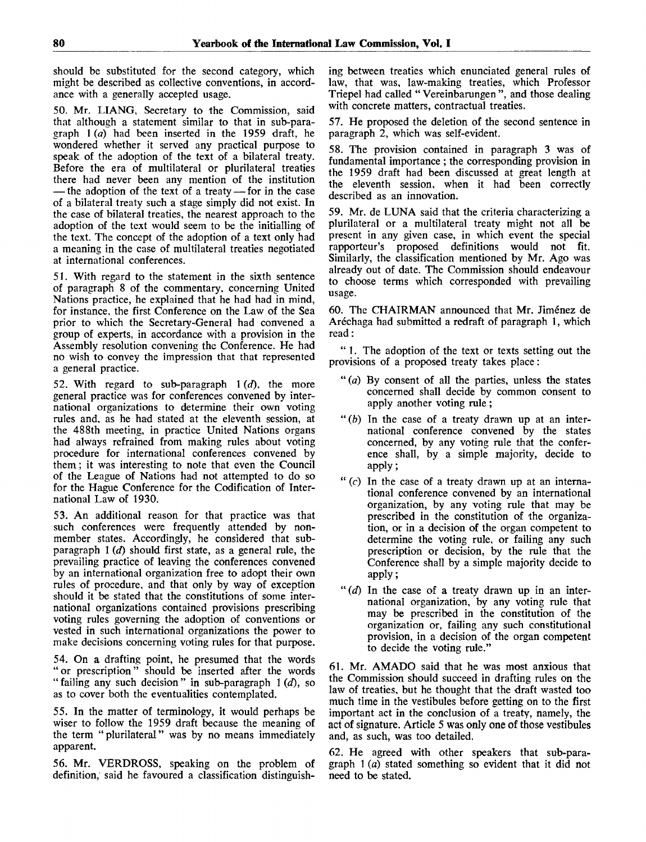should be substituted for the second category, which might be described as collective conventions, in accordance with a generally accepted usage.

50. Mr. LIANG, Secretary to the Commission, said that although a statement similar to that in sub-paragraph 1 *(a)* had been inserted in the 1959 draft, he wondered whether it served any practical purpose to speak of the adoption of the text of a bilateral treaty. Before the era of multilateral or plurilateral treaties there had never been any mention of the institution — the adoption of the text of a treaty — for in the case of a bilateral treaty such a stage simply did not exist. In the case of bilateral treaties, the nearest approach to the adoption of the text would seem to be the initialling of the text. The concept of the adoption of a text only had a meaning in the case of multilateral treaties negotiated at international conferences.

51. With regard to the statement in the sixth sentence of paragraph 8 of the commentary, concerning United Nations practice, he explained that he had had in mind, for instance, the first Conference on the Law of the Sea prior to which the Secretary-General had convened a group of experts, in accordance with a provision in the Assembly resolution convening the Conference. He had no wish to convey the impression that that represented a general practice.

52. With regard to sub-paragraph 1 *(d),* the more general practice was for conferences convened by international organizations to determine their own voting rules and, as he had stated at the eleventh session, at the 488th meeting, in practice United Nations organs had always refrained from making rules about voting procedure for international conferences convened by them; it was interesting to note that even the Council of the League of Nations had not attempted to do so for the Hague Conference for the Codification of International Law of 1930.

53. An additional reason for that practice was that such conferences were frequently attended by nonmember states. Accordingly, he considered that subparagraph 1 *(d)* should first state, as a general rule, the prevailing practice of leaving the conferences convened by an international organization free to adopt their own rules of procedure, and that only by way of exception should it be stated that the constitutions of some international organizations contained provisions prescribing voting rules governing the adoption of conventions or vested in such international organizations the power to make decisions concerning voting rules for that purpose.

54. On a drafting point, he presumed that the words "or prescription" should be inserted after the words " failing any such decision" in sub-paragraph 1(d), so as to cover both the eventualities contemplated.

55. In the matter of terminology, it would perhaps be wiser to follow the 1959 draft because the meaning of the term "plurilateral" was by no means immediately apparent.

56. Mr. VERDROSS, speaking on the problem of definition, said he favoured a classification distinguish-

ing between treaties which enunciated general rules of law, that was, law-making treaties, which Professor Triepel had called " Vereinbarungen ", and those dealing with concrete matters, contractual treaties.

57. He proposed the deletion of the second sentence in paragraph 2, which was self-evident.

58. The provision contained in paragraph 3 was of fundamental importance ; the corresponding provision in the 1959 draft had been discussed at great length at the eleventh session, when it had been correctly described as an innovation.

59. Mr. de LUNA said that the criteria characterizing a plurilateral or a multilateral treaty might not all be present in any given case, in which event the special rapporteur's proposed definitions would not fit. Similarly, the classification mentioned by Mr. Ago was already out of date. The Commission should endeavour to choose terms which corresponded with prevailing usage.

60. The CHAIRMAN announced that Mr. Jimenez de Aréchaga had submitted a redraft of paragraph 1, which read:

" 1. The adoption of the text or texts setting out the provisions of a proposed treaty takes place:

- " *(a)* By consent of all the parties, unless the states concerned shall decide by common consent to apply another voting rule ;
- " $(b)$  In the case of a treaty drawn up at an international conference convened by the states concerned, by any voting rule that the conference shall, by a simple majority, decide to apply;
- " $(c)$  In the case of a treaty drawn up at an international conference convened by an international organization, by any voting rule that may be prescribed in the constitution of the organization, or in a decision of the organ competent to determine the voting rule, or failing any such prescription or decision, by the rule that the Conference shall by a simple majority decide to apply;
- *"(d)* In the case of a treaty drawn up in an international organization, by any voting rule that may be prescribed in the constitution of the organization or, failing any such constitutional provision, in a decision of the organ competent to decide the voting rule."

61. Mr. AMADO said that he was most anxious that the Commission should succeed in drafting rules on the law of treaties, but he thought that the draft wasted too much time in the vestibules before getting on to the first important act in the conclusion of a treaty, namely, the act of signature. Article 5 was only one of those vestibules and, as such, was too detailed.

62. He agreed with other speakers that sub-paragraph 1 *(a)* stated something so evident that it did not need to be stated.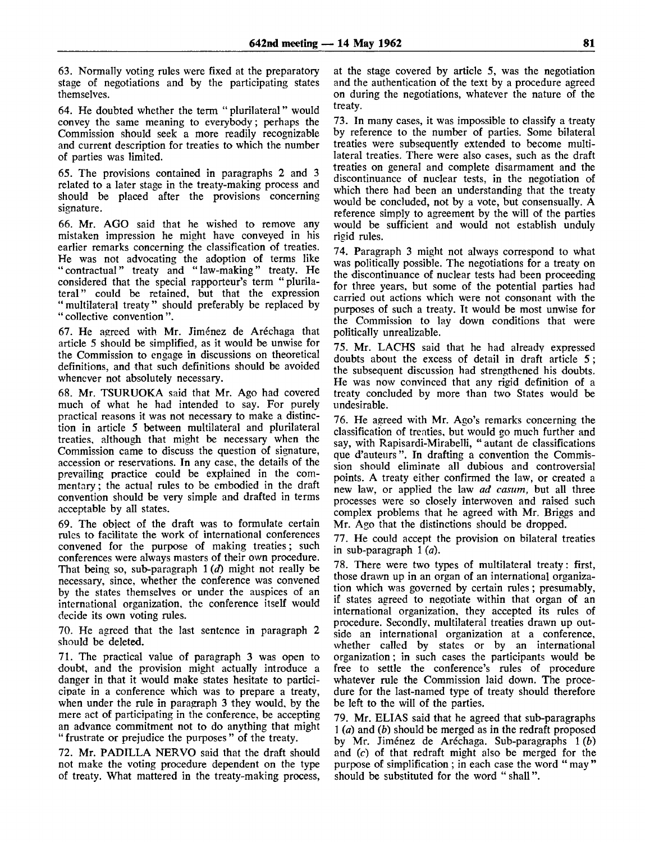63. Normally voting rules were fixed at the preparatory stage of negotiations and by the participating states themselves.

64. He doubted whether the term " plurilateral" would convey the same meaning to everybody; perhaps the Commission should seek a more readily recognizable and current description for treaties to which the number of parties was limited.

65. The provisions contained in paragraphs 2 and 3 related to a later stage in the treaty-making process and should be placed after the provisions concerning signature.

66. Mr. AGO said that he wished to remove any mistaken impression he might have conveyed in his earlier remarks concerning the classification of treaties. He was not advocating the adoption of terms like "contractual" treaty and "law-making" treaty. He considered that the special rapporteur's term "plurilateral" could be retained, but that the expression "multilateral treaty" should preferably be replaced by " collective convention ".

67. He agreed with Mr. Jimenez de Arechaga that article 5 should be simplified, as it would be unwise for the Commission to engage in discussions on theoretical definitions, and that such definitions should be avoided whenever not absolutely necessary.

68. Mr. TSURUOKA said that Mr. Ago had covered much of what he had intended to say. For purely practical reasons it was not necessary to make a distinction in article 5 between multilateral and plurilateral treaties, although that might be necessary when the Commission came to discuss the question of signature, accession or reservations. In any case, the details of the prevailing practice could be explained in the commentary ; the actual rules to be embodied in the draft convention should be very simple and drafted in terms acceptable by all states.

69. The obiect of the draft was to formulate certain rules to facilitate the work of international conferences convened for the purpose of making treaties; such conferences were always masters of their own procedure. That being so, sub-paragraph 1 *(d)* might not really be necessary, since, whether the conference was convened by the states themselves or under the auspices of an international organization, the conference itself would decide its own voting rules.

70. He agreed that the last sentence in paragraph 2 should be deleted.

71. The practical value of paragraph 3 was open to doubt, and the provision might actually introduce a danger in that it would make states hesitate to particicipate in a conference which was to prepare a treaty, when under the rule in paragraph 3 they would, by the mere act of participating in the conference, be accepting an advance commitment not to do anything that might " frustrate or prejudice the purposes" of the treaty.

72. Mr. PADILLA NERVO said that the draft should not make the voting procedure dependent on the type of treaty. What mattered in the treaty-making process,

at the stage covered by article 5, was the negotiation and the authentication of the text by a procedure agreed on during the negotiations, whatever the nature of the treaty.

73. In many cases, it was impossible to classify a treaty by reference to the number of parties. Some bilateral treaties were subsequently extended to become multilateral treaties. There were also cases, such as the draft treaties on general and complete disarmament and the discontinuance of nuclear tests, in the negotiation of which there had been an understanding that the treaty would be concluded, not by a vote, but consensually. A reference simply to agreement by the will of the parties would be sufficient and would not establish unduly rigid rules.

74. Paragraph 3 might not always correspond to what was politically possible. The negotiations for a treaty on the discontinuance of nuclear tests had been proceeding for three years, but some of the potential parties had carried out actions which were not consonant with the purposes of such a treaty. Tt would be most unwise for the Commission to lay down conditions that were politically unrealizable.

75. Mr. LACHS said that he had already expressed doubts about the excess of detail in draft article 5 ; the subsequent discussion had strengthened his doubts. He was now convinced that any rigid definition of a treaty concluded by more than two States would be undesirable.

76. He agreed with Mr. Ago's remarks concerning the classification of treaties, but would go much further and say, with Rapisardi-Mirabelli, " autant de classifications que d'auteurs". In drafting a convention the Commission should eliminate all dubious and controversial points. A treaty either confirmed the law, or created a new law, or applied the law *ad casum,* but all three processes were so closely interwoven and raised such complex problems that he agreed with Mr. Briggs and Mr. Ago that the distinctions should be dropped.

77. He could accept the provision on bilateral treaties in sub-paragraph 1 *(a).*

78. There were two types of multilateral treaty: first, those drawn up in an organ of an international organization which was governed by certain rules; presumably, if states agreed to negotiate within that organ of an international organization, they accepted its rules of procedure. Secondly, multilateral treaties drawn up outside an international organization at a conference, whether called by states or by an international organization; in such cases the participants would be free to settle the conference's rules of procedure whatever rule the Commission laid down. The procedure for the last-named type of treaty should therefore be left to the will of the parties.

79. Mr. ELIAS said that he agreed that sub-paragraphs 1 *(a)* and *(b)* should be merged as in the redraft proposed by Mr. Jimenez de Arechaga. Sub-paragraphs 1 *(b)* and (c) of that redraft might also be merged for the purpose of simplification ; in each case the word " may " should be substituted for the word " shall".